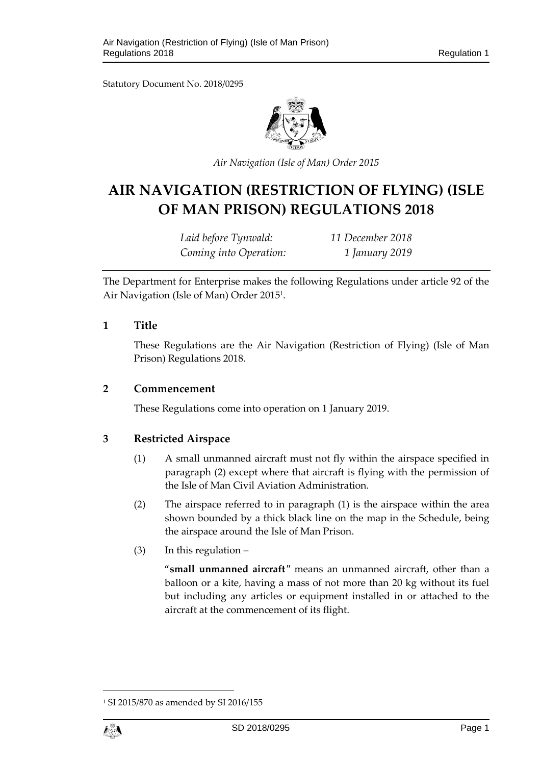Statutory Document No. 2018/0295



*Air Navigation (Isle of Man) Order 2015*

# **AIR NAVIGATION (RESTRICTION OF FLYING) (ISLE OF MAN PRISON) REGULATIONS 2018**

*Laid before Tynwald: 11 December 2018 Coming into Operation: 1 January 2019*

The Department for Enterprise makes the following Regulations under article 92 of the Air Navigation (Isle of Man) Order 2015<sup>1</sup> .

### **1 Title**

These Regulations are the Air Navigation (Restriction of Flying) (Isle of Man Prison) Regulations 2018.

#### **2 Commencement**

These Regulations come into operation on 1 January 2019.

# **3 Restricted Airspace**

- (1) A small unmanned aircraft must not fly within the airspace specified in paragraph (2) except where that aircraft is flying with the permission of the Isle of Man Civil Aviation Administration.
- (2) The airspace referred to in paragraph (1) is the airspace within the area shown bounded by a thick black line on the map in the Schedule, being the airspace around the Isle of Man Prison.
- (3) In this regulation –

"**small unmanned aircraft**" means an unmanned aircraft, other than a balloon or a kite, having a mass of not more than 20 kg without its fuel but including any articles or equipment installed in or attached to the aircraft at the commencement of its flight.

<sup>1</sup> SI 2015/870 as amended by SI 2016/155



1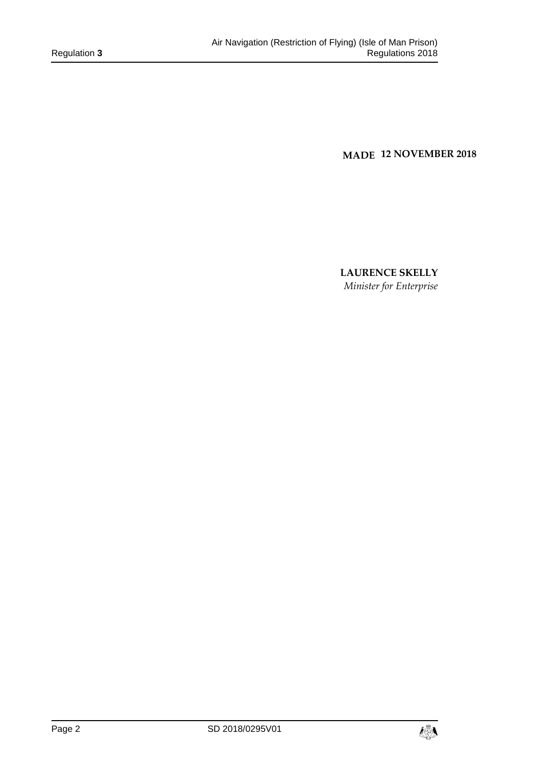**MADE 12 NOVEMBER 2018**

**LAURENCE SKELLY**  *Minister for Enterprise* 

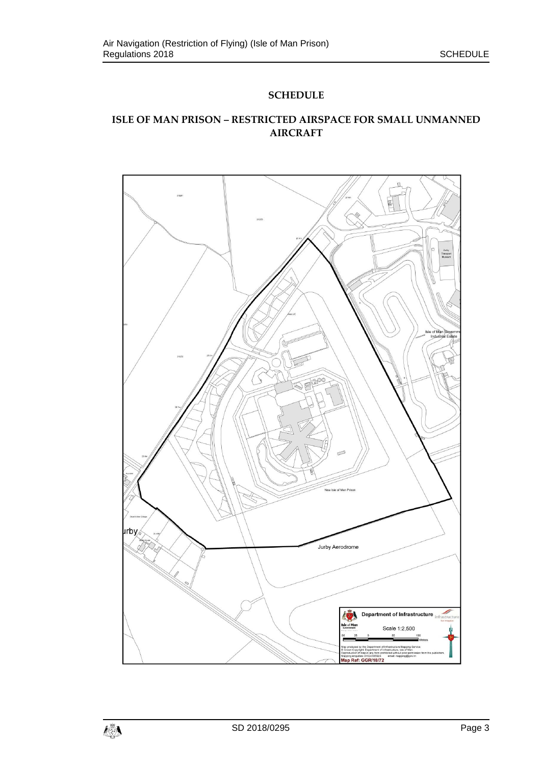## **SCHEDULE**

# **ISLE OF MAN PRISON – RESTRICTED AIRSPACE FOR SMALL UNMANNED AIRCRAFT**